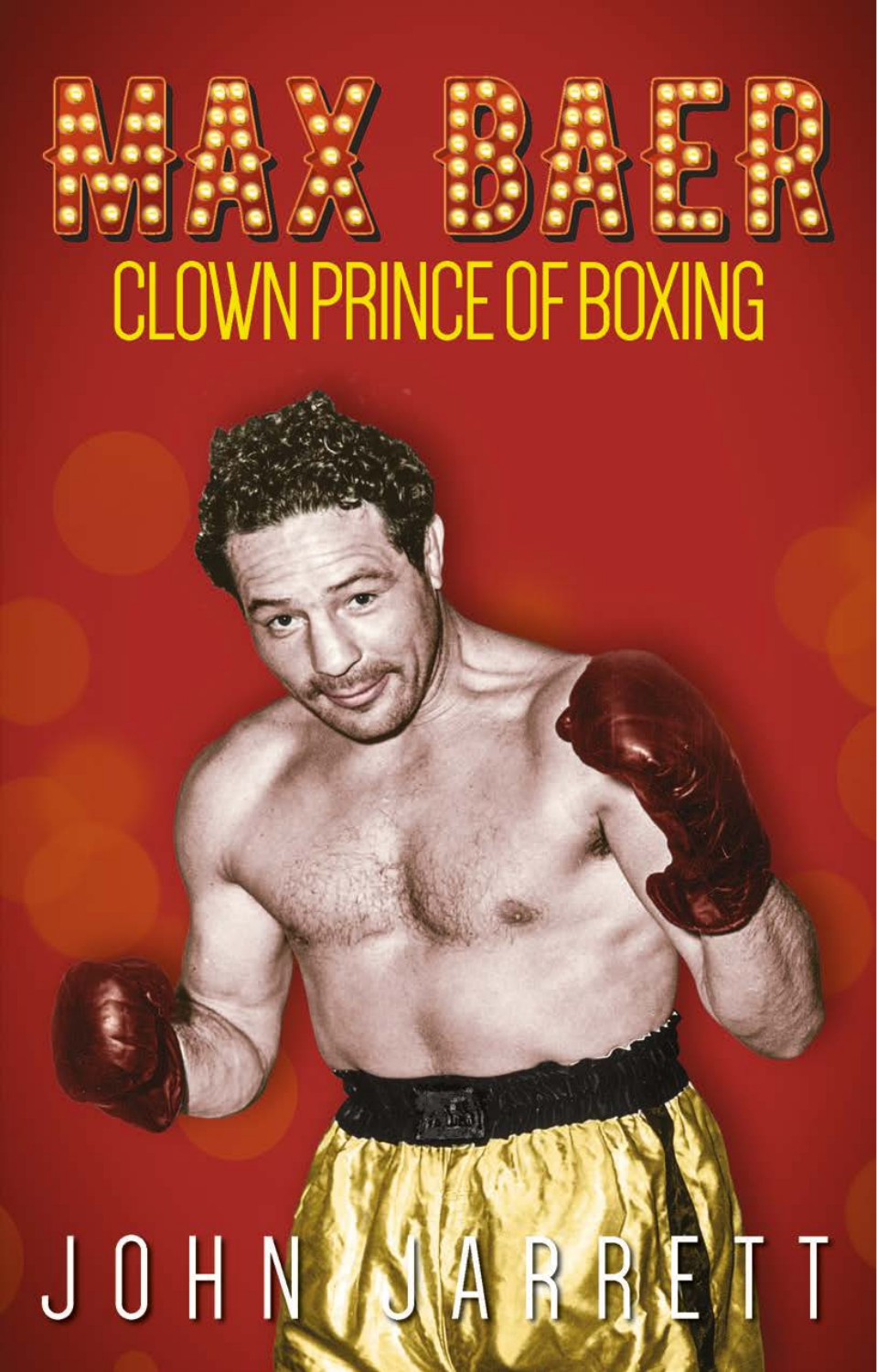# CLOWN PRINCE OF BOXING

### R R B T JOHN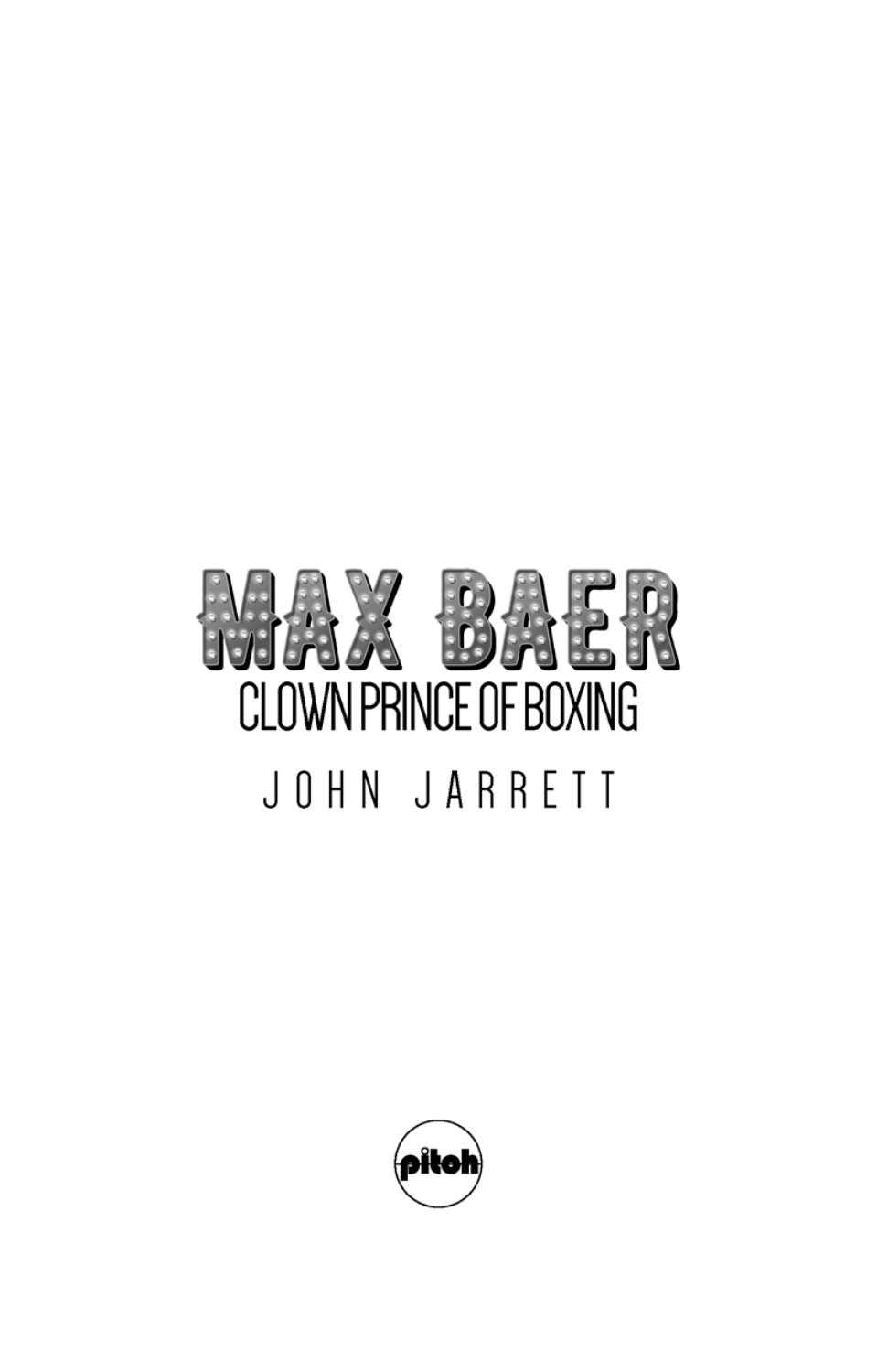## CLOWN PRINCE OF BOXING JOHN JARRETT

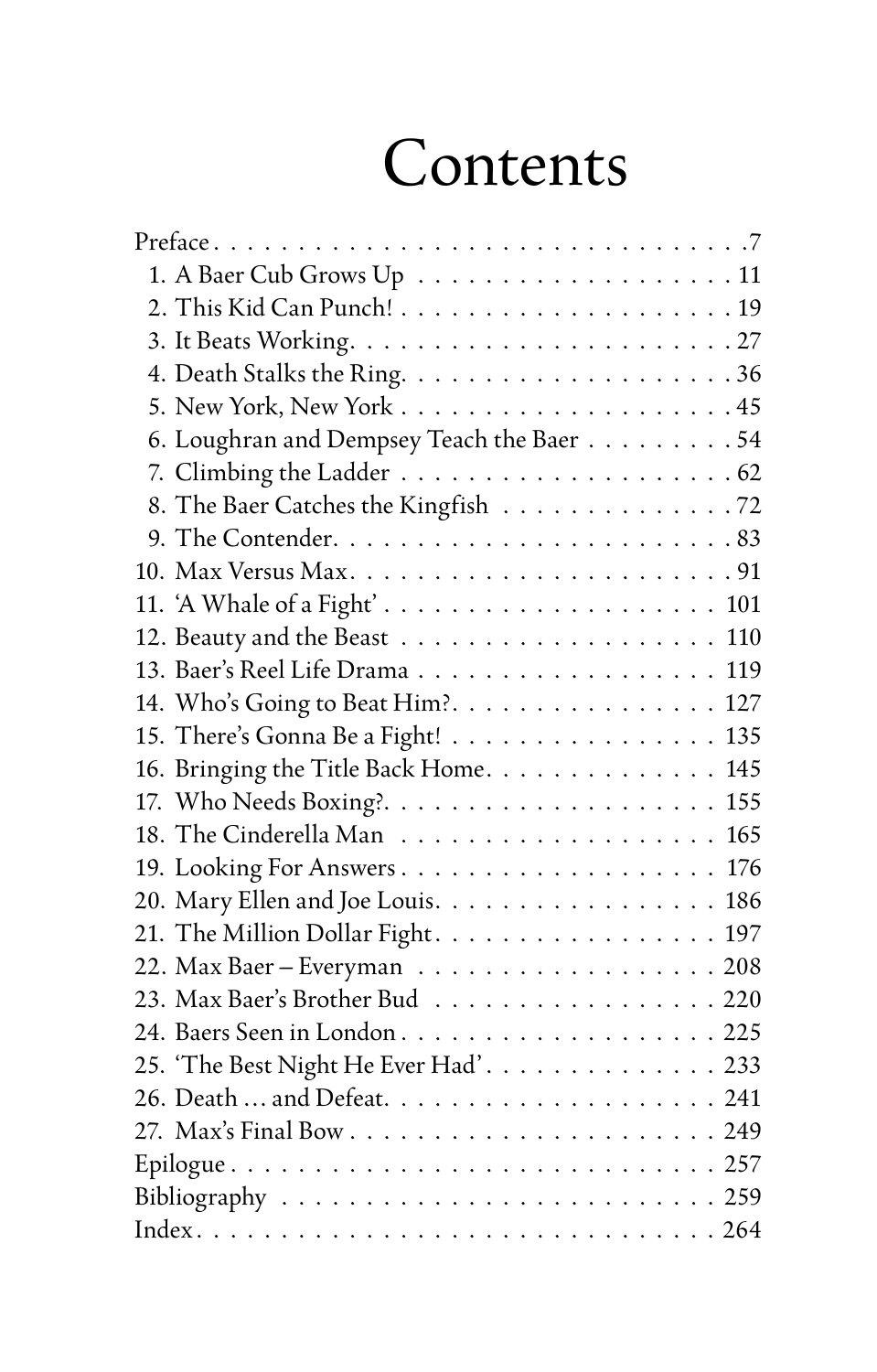### Contents

| 6. Loughran and Dempsey Teach the Baer 54 |
|-------------------------------------------|
|                                           |
| 8. The Baer Catches the Kingfish 72       |
|                                           |
|                                           |
|                                           |
| 110                                       |
| 119                                       |
| 14. Who's Going to Beat Him?. 127         |
| 15. There's Gonna Be a Fight! 135         |
| 16. Bringing the Title Back Home. 145     |
|                                           |
|                                           |
| 19. Looking For Answers 176               |
| 20. Mary Ellen and Joe Louis. 186         |
| 21. The Million Dollar Fight. 197         |
| 22. Max Baer – Everyman 208               |
| 23. Max Baer's Brother Bud 220            |
| 24. Baers Seen in London225               |
| 25. 'The Best Night He Ever Had'. 233     |
|                                           |
|                                           |
|                                           |
|                                           |
|                                           |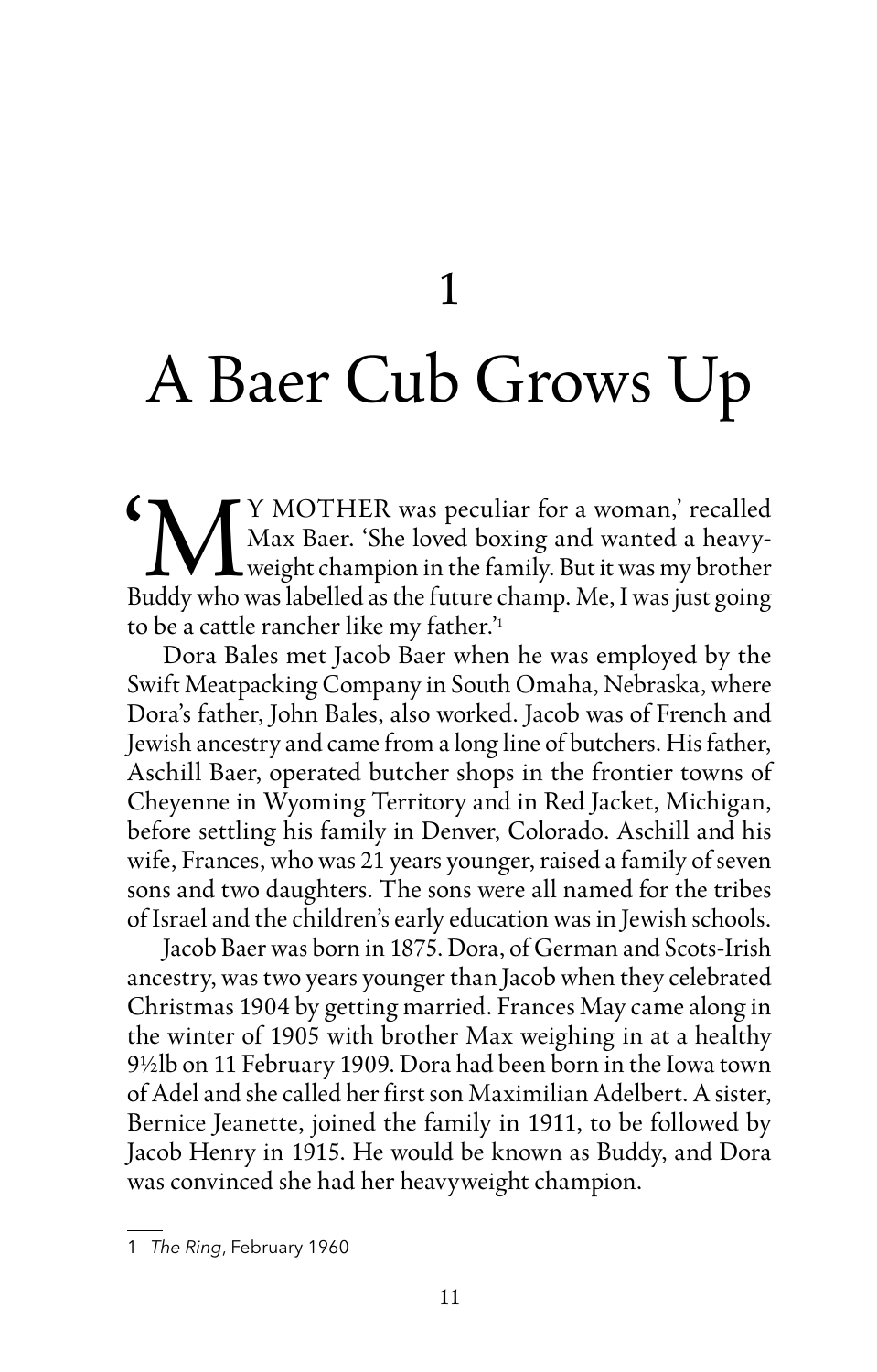1

### <span id="page-3-0"></span>A Baer Cub Grows Up

IM Y MOTHER was peculiar for a woman,' recalled<br>Max Baer. 'She loved boxing and wanted a heavy-<br>Buddy who was labelled as the future champ. Me. I was just going Max Baer. 'She loved boxing and wanted a heavyweight champion in the family. But it was my brother Buddy who was labelled as the future champ. Me, I was just going to be a cattle rancher like my father.' 1

Dora Bales met Jacob Baer when he was employed by the Swift Meatpacking Company in South Omaha, Nebraska, where Dora's father, John Bales, also worked. Jacob was of French and Jewish ancestry and came from a long line of butchers. His father, Aschill Baer, operated butcher shops in the frontier towns of Cheyenne in Wyoming Territory and in Red Jacket, Michigan, before settling his family in Denver, Colorado. Aschill and his wife, Frances, who was 21 years younger, raised a family of seven sons and two daughters. The sons were all named for the tribes of Israel and the children's early education was in Jewish schools.

Jacob Baer was born in 1875. Dora, of German and Scots-Irish ancestry, was two years younger than Jacob when they celebrated Christmas 1904 by getting married. Frances May came along in the winter of 1905 with brother Max weighing in at a healthy 9½lb on 11 February 1909. Dora had been born in the Iowa town of Adel and she called her first son Maximilian Adelbert. A sister, Bernice Jeanette, joined the family in 1911, to be followed by Jacob Henry in 1915. He would be known as Buddy, and Dora was convinced she had her heavyweight champion.

<sup>1</sup> *The Ring*, February 1960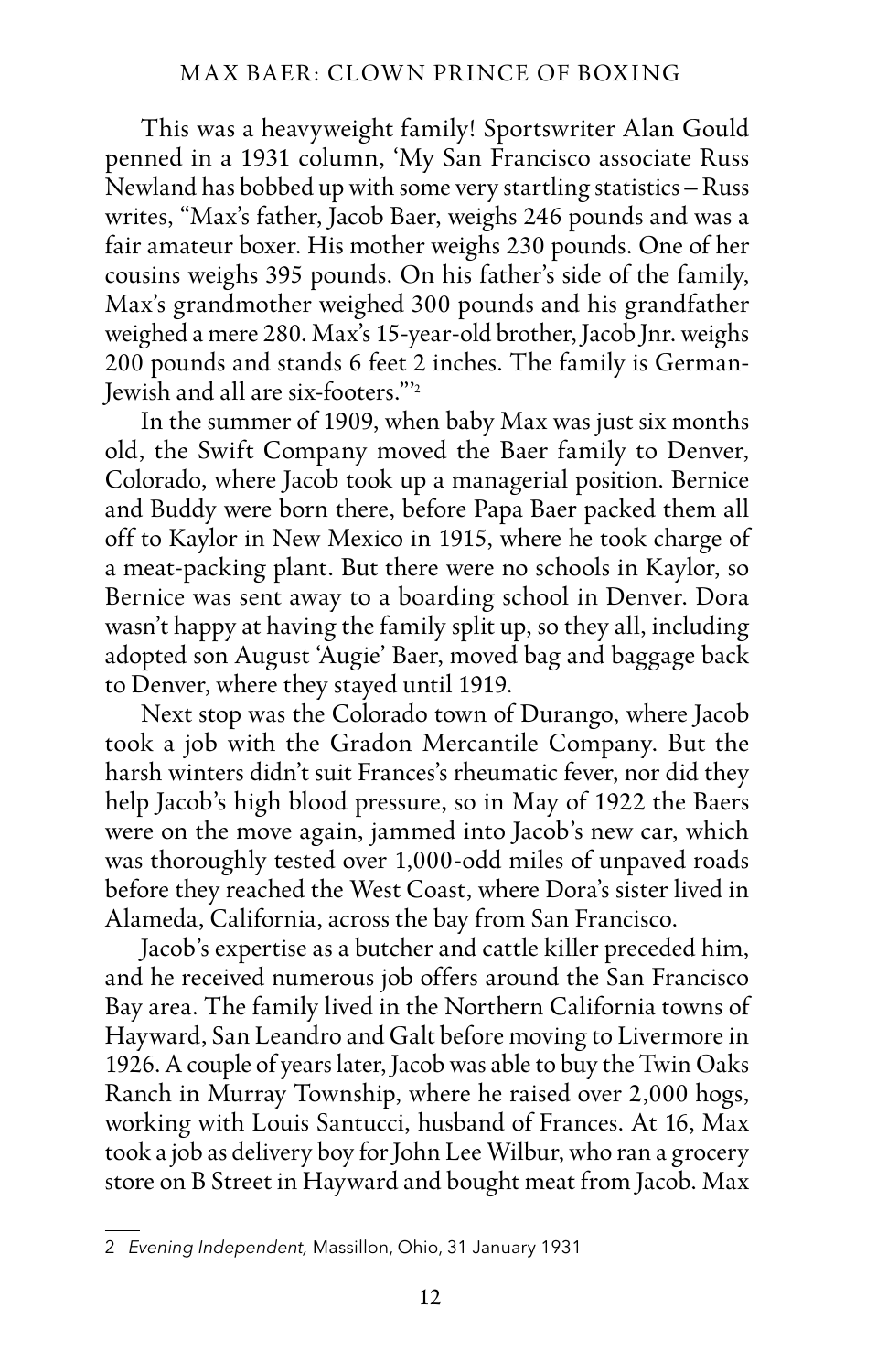#### MAX BAER: CLOWN PRINCE OF BOXING

This was a heavyweight family! Sportswriter Alan Gould penned in a 1931 column, 'My San Francisco associate Russ Newland has bobbed up with some very startling statistics – Russ writes, "Max's father, Jacob Baer, weighs 246 pounds and was a fair amateur boxer. His mother weighs 230 pounds. One of her cousins weighs 395 pounds. On his father's side of the family, Max's grandmother weighed 300 pounds and his grandfather weighed a mere 280. Max's 15-year-old brother, Jacob Jnr. weighs 200 pounds and stands 6 feet 2 inches. The family is German-Jewish and all are six-footers."'2

In the summer of 1909, when baby Max was just six months old, the Swift Company moved the Baer family to Denver, Colorado, where Jacob took up a managerial position. Bernice and Buddy were born there, before Papa Baer packed them all off to Kaylor in New Mexico in 1915, where he took charge of a meat-packing plant. But there were no schools in Kaylor, so Bernice was sent away to a boarding school in Denver. Dora wasn't happy at having the family split up, so they all, including adopted son August 'Augie' Baer, moved bag and baggage back to Denver, where they stayed until 1919.

Next stop was the Colorado town of Durango, where Jacob took a job with the Gradon Mercantile Company. But the harsh winters didn't suit Frances's rheumatic fever, nor did they help Jacob's high blood pressure, so in May of 1922 the Baers were on the move again, jammed into Jacob's new car, which was thoroughly tested over 1,000-odd miles of unpaved roads before they reached the West Coast, where Dora's sister lived in Alameda, California, across the bay from San Francisco.

Jacob's expertise as a butcher and cattle killer preceded him, and he received numerous job offers around the San Francisco Bay area. The family lived in the Northern California towns of Hayward, San Leandro and Galt before moving to Livermore in 1926. A couple of years later, Jacob was able to buy the Twin Oaks Ranch in Murray Township, where he raised over 2,000 hogs, working with Louis Santucci, husband of Frances. At 16, Max took a job as delivery boy for John Lee Wilbur, who ran a grocery store on B Street in Hayward and bought meat from Jacob. Max

<sup>2</sup> *Evening Independent,* Massillon, Ohio, 31 January 1931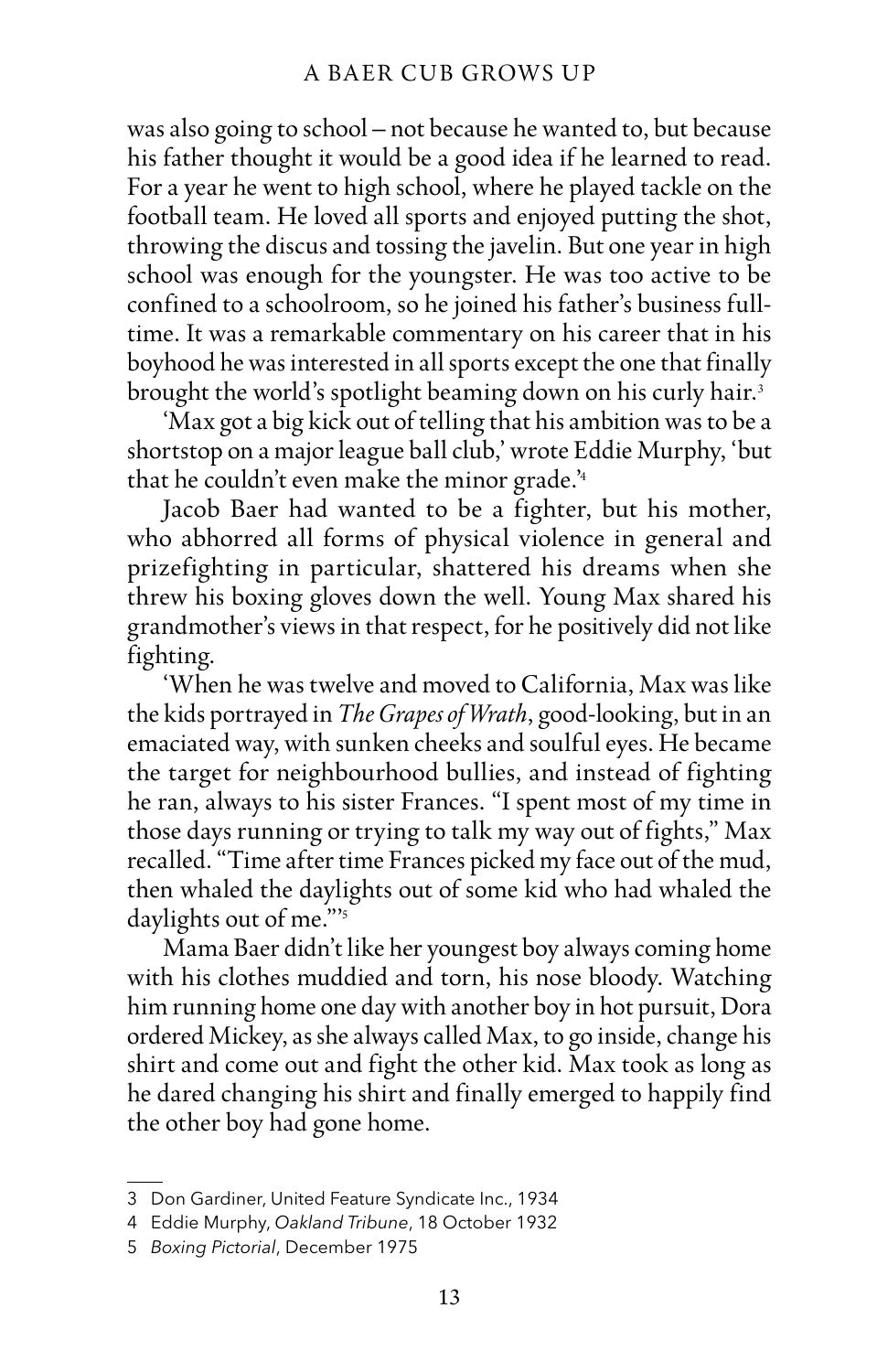was also going to school – not because he wanted to, but because his father thought it would be a good idea if he learned to read. For a year he went to high school, where he played tackle on the football team. He loved all sports and enjoyed putting the shot, throwing the discus and tossing the javelin. But one year in high school was enough for the youngster. He was too active to be confined to a schoolroom, so he joined his father's business fulltime. It was a remarkable commentary on his career that in his boyhood he was interested in all sports except the one that finally brought the world's spotlight beaming down on his curly hair. 3

'Max got a big kick out of telling that his ambition was to be a shortstop on a major league ball club,' wrote Eddie Murphy, 'but that he couldn't even make the minor grade.' 4

Jacob Baer had wanted to be a fighter, but his mother, who abhorred all forms of physical violence in general and prizefighting in particular, shattered his dreams when she threw his boxing gloves down the well. Young Max shared his grandmother's views in that respect, for he positively did not like fighting.

'When he was twelve and moved to California, Max was like the kids portrayed in *The Grapes of Wrath*, good-looking, but in an emaciated way, with sunken cheeks and soulful eyes. He became the target for neighbourhood bullies, and instead of fighting he ran, always to his sister Frances. "I spent most of my time in those days running or trying to talk my way out of fights," Max recalled. "Time after time Frances picked my face out of the mud, then whaled the daylights out of some kid who had whaled the daylights out of me."<sup>5</sup>

Mama Baer didn't like her youngest boy always coming home with his clothes muddied and torn, his nose bloody. Watching him running home one day with another boy in hot pursuit, Dora ordered Mickey, as she always called Max, to go inside, change his shirt and come out and fight the other kid. Max took as long as he dared changing his shirt and finally emerged to happily find the other boy had gone home.

<sup>3</sup> Don Gardiner, United Feature Syndicate Inc., 1934

<sup>4</sup> Eddie Murphy, *Oakland Tribune*, 18 October 1932

<sup>5</sup> *Boxing Pictorial*, December 1975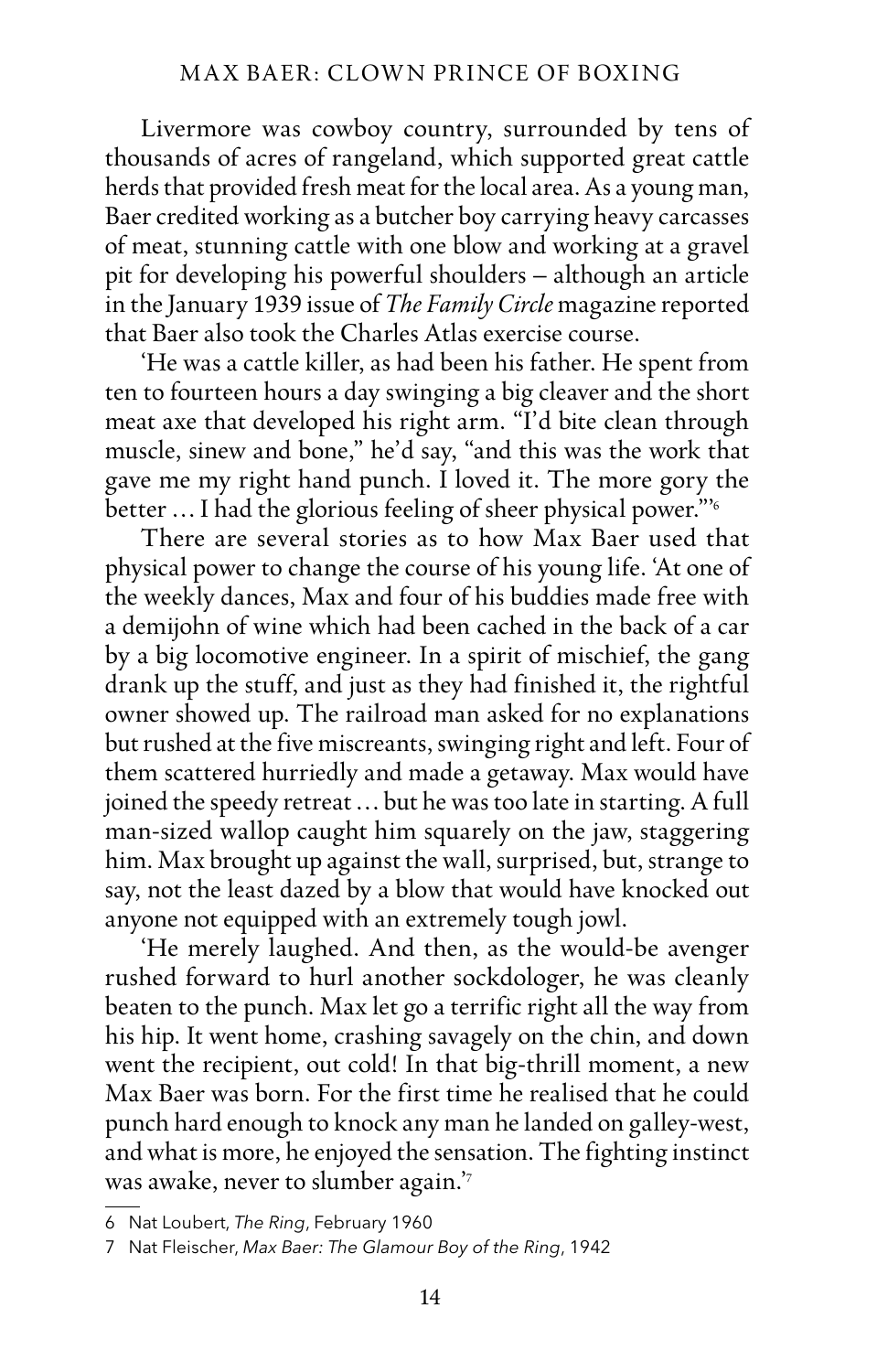#### MAX BAER: CLOWN PRINCE OF BOXING

Livermore was cowboy country, surrounded by tens of thousands of acres of rangeland, which supported great cattle herds that provided fresh meat for the local area. As a young man, Baer credited working as a butcher boy carrying heavy carcasses of meat, stunning cattle with one blow and working at a gravel pit for developing his powerful shoulders – although an article in the January 1939 issue of *The Family Circle* magazine reported that Baer also took the Charles Atlas exercise course.

'He was a cattle killer, as had been his father. He spent from ten to fourteen hours a day swinging a big cleaver and the short meat axe that developed his right arm. "I'd bite clean through muscle, sinew and bone," he'd say, "and this was the work that gave me my right hand punch. I loved it. The more gory the better ... I had the glorious feeling of sheer physical power."<sup>6</sup>

There are several stories as to how Max Baer used that physical power to change the course of his young life. 'At one of the weekly dances, Max and four of his buddies made free with a demijohn of wine which had been cached in the back of a car by a big locomotive engineer. In a spirit of mischief, the gang drank up the stuff, and just as they had finished it, the rightful owner showed up. The railroad man asked for no explanations but rushed at the five miscreants, swinging right and left. Four of them scattered hurriedly and made a getaway. Max would have joined the speedy retreat … but he was too late in starting. A full man-sized wallop caught him squarely on the jaw, staggering him. Max brought up against the wall, surprised, but, strange to say, not the least dazed by a blow that would have knocked out anyone not equipped with an extremely tough jowl.

'He merely laughed. And then, as the would-be avenger rushed forward to hurl another sockdologer, he was cleanly beaten to the punch. Max let go a terrific right all the way from his hip. It went home, crashing savagely on the chin, and down went the recipient, out cold! In that big-thrill moment, a new Max Baer was born. For the first time he realised that he could punch hard enough to knock any man he landed on galley-west, and what is more, he enjoyed the sensation. The fighting instinct was awake, never to slumber again.' 7

<sup>6</sup> Nat Loubert, *The Ring*, February 1960

<sup>7</sup> Nat Fleischer, *Max Baer: The Glamour Boy of the Ring*, 1942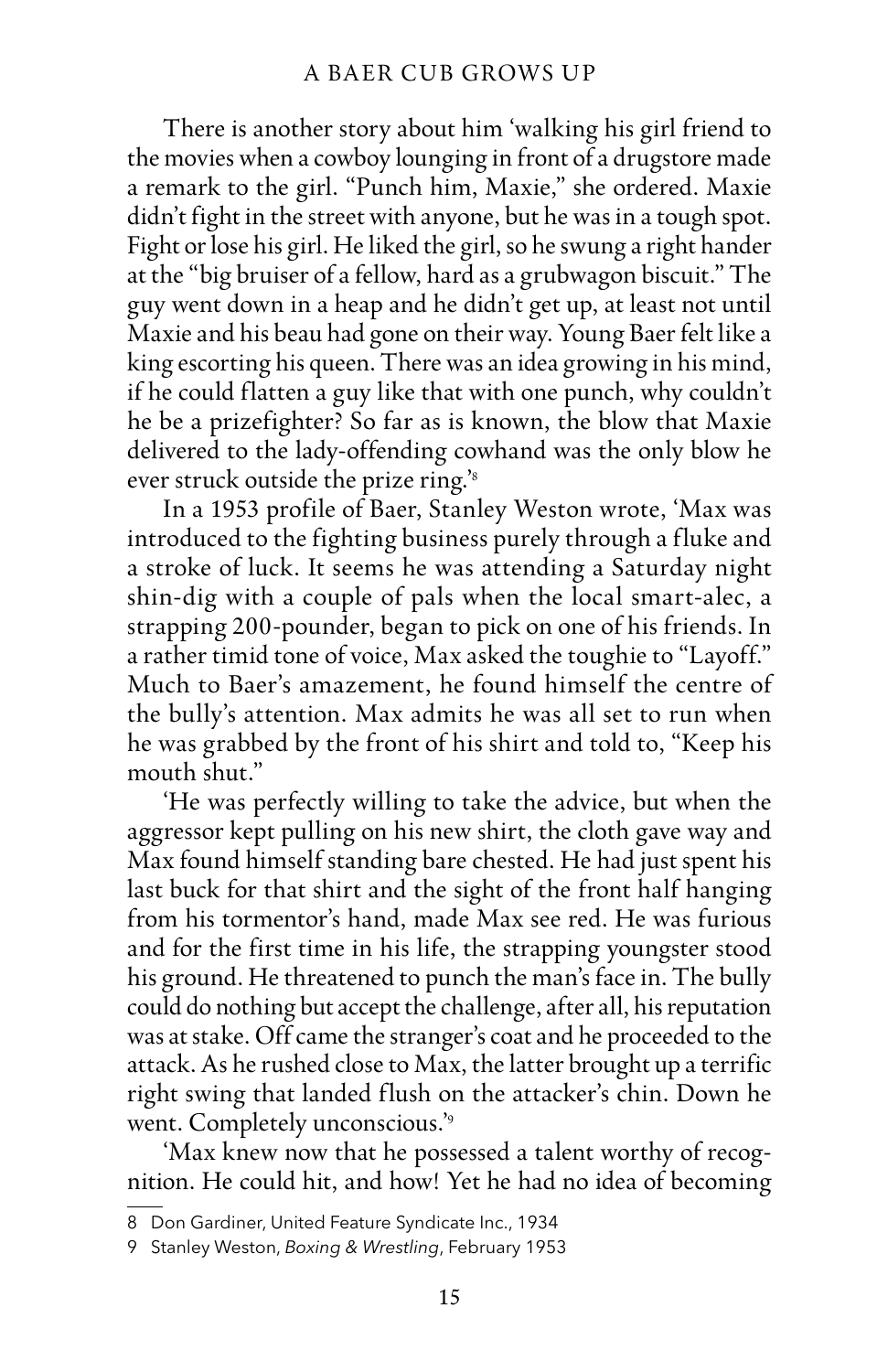There is another story about him 'walking his girl friend to the movies when a cowboy lounging in front of a drugstore made a remark to the girl. "Punch him, Maxie," she ordered. Maxie didn't fight in the street with anyone, but he was in a tough spot. Fight or lose his girl. He liked the girl, so he swung a right hander at the "big bruiser of a fellow, hard as a grubwagon biscuit." The guy went down in a heap and he didn't get up, at least not until Maxie and his beau had gone on their way. Young Baer felt like a king escorting his queen. There was an idea growing in his mind, if he could flatten a guy like that with one punch, why couldn't he be a prizefighter? So far as is known, the blow that Maxie delivered to the lady-offending cowhand was the only blow he ever struck outside the prize ring.' 8

In a 1953 profile of Baer, Stanley Weston wrote, 'Max was introduced to the fighting business purely through a fluke and a stroke of luck. It seems he was attending a Saturday night shin-dig with a couple of pals when the local smart-alec, a strapping 200-pounder, began to pick on one of his friends. In a rather timid tone of voice, Max asked the toughie to "Layoff." Much to Baer's amazement, he found himself the centre of the bully's attention. Max admits he was all set to run when he was grabbed by the front of his shirt and told to, "Keep his mouth shut."

'He was perfectly willing to take the advice, but when the aggressor kept pulling on his new shirt, the cloth gave way and Max found himself standing bare chested. He had just spent his last buck for that shirt and the sight of the front half hanging from his tormentor's hand, made Max see red. He was furious and for the first time in his life, the strapping youngster stood his ground. He threatened to punch the man's face in. The bully could do nothing but accept the challenge, after all, his reputation was at stake. Off came the stranger's coat and he proceeded to the attack. As he rushed close to Max, the latter brought up a terrific right swing that landed flush on the attacker's chin. Down he went. Completely unconscious.' 9

'Max knew now that he possessed a talent worthy of recognition. He could hit, and how! Yet he had no idea of becoming

<sup>8</sup> Don Gardiner, United Feature Syndicate Inc., 1934

<sup>9</sup> Stanley Weston, *Boxing & Wrestling*, February 1953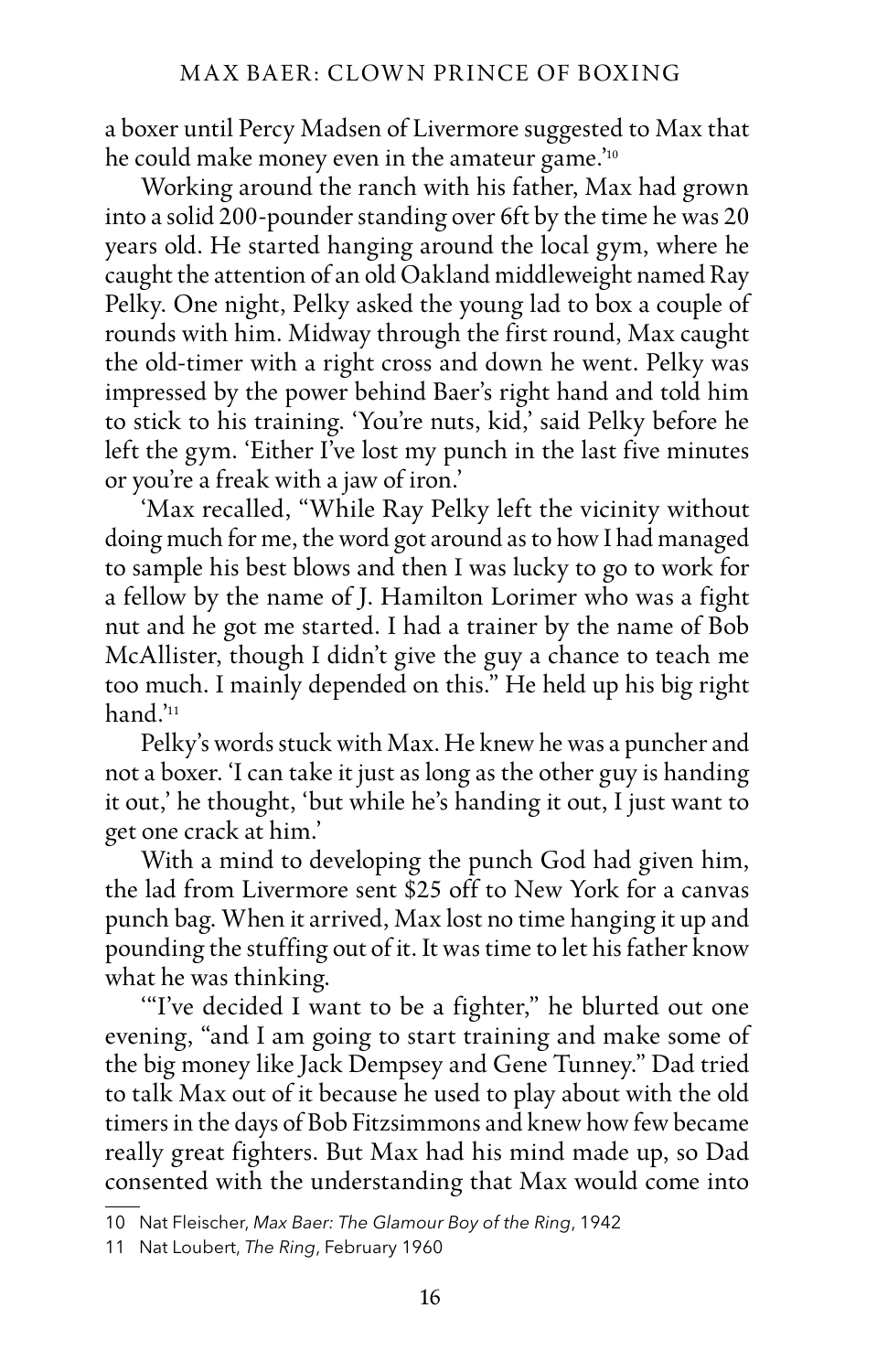a boxer until Percy Madsen of Livermore suggested to Max that he could make money even in the amateur game.' 10

Working around the ranch with his father, Max had grown into a solid 200-pounder standing over 6ft by the time he was 20 years old. He started hanging around the local gym, where he caught the attention of an old Oakland middleweight named Ray Pelky. One night, Pelky asked the young lad to box a couple of rounds with him. Midway through the first round, Max caught the old-timer with a right cross and down he went. Pelky was impressed by the power behind Baer's right hand and told him to stick to his training. 'You're nuts, kid,' said Pelky before he left the gym. 'Either I've lost my punch in the last five minutes or you're a freak with a jaw of iron.'

'Max recalled, "While Ray Pelky left the vicinity without doing much for me, the word got around as to how I had managed to sample his best blows and then I was lucky to go to work for a fellow by the name of J. Hamilton Lorimer who was a fight nut and he got me started. I had a trainer by the name of Bob McAllister, though I didn't give the guy a chance to teach me too much. I mainly depended on this." He held up his big right hand.' 11

Pelky's words stuck with Max. He knew he was a puncher and not a boxer. 'I can take it just as long as the other guy is handing it out,' he thought, 'but while he's handing it out, I just want to get one crack at him.'

With a mind to developing the punch God had given him, the lad from Livermore sent \$25 off to New York for a canvas punch bag. When it arrived, Max lost no time hanging it up and pounding the stuffing out of it. It was time to let his father know what he was thinking.

'"I've decided I want to be a fighter," he blurted out one evening, "and I am going to start training and make some of the big money like Jack Dempsey and Gene Tunney." Dad tried to talk Max out of it because he used to play about with the old timers in the days of Bob Fitzsimmons and knew how few became really great fighters. But Max had his mind made up, so Dad consented with the understanding that Max would come into

<sup>10</sup> Nat Fleischer, *Max Baer: The Glamour Boy of the Ring*, 1942

<sup>11</sup> Nat Loubert, *The Ring*, February 1960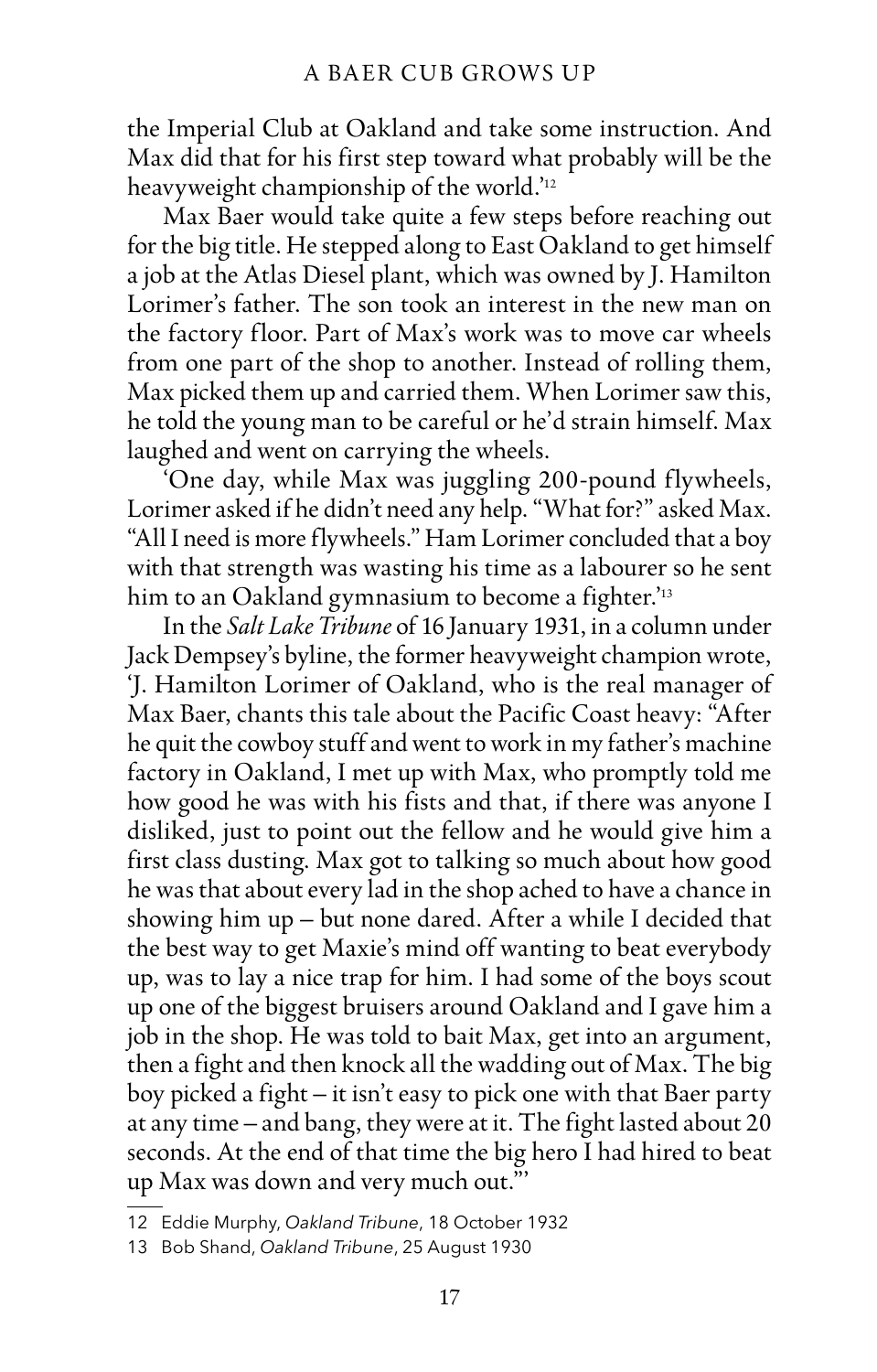the Imperial Club at Oakland and take some instruction. And Max did that for his first step toward what probably will be the heavyweight championship of the world.' 12

Max Baer would take quite a few steps before reaching out for the big title. He stepped along to East Oakland to get himself a job at the Atlas Diesel plant, which was owned by J. Hamilton Lorimer's father. The son took an interest in the new man on the factory floor. Part of Max's work was to move car wheels from one part of the shop to another. Instead of rolling them, Max picked them up and carried them. When Lorimer saw this, he told the young man to be careful or he'd strain himself. Max laughed and went on carrying the wheels.

'One day, while Max was juggling 200-pound flywheels, Lorimer asked if he didn't need any help. "What for?" asked Max. "All I need is more flywheels." Ham Lorimer concluded that a boy with that strength was wasting his time as a labourer so he sent him to an Oakland gymnasium to become a fighter.' 13

In the *Salt Lake Tribune* of 16 January 1931, in a column under Jack Dempsey's byline, the former heavyweight champion wrote, 'J. Hamilton Lorimer of Oakland, who is the real manager of Max Baer, chants this tale about the Pacific Coast heavy: "After he quit the cowboy stuff and went to work in my father's machine factory in Oakland, I met up with Max, who promptly told me how good he was with his fists and that, if there was anyone I disliked, just to point out the fellow and he would give him a first class dusting. Max got to talking so much about how good he was that about every lad in the shop ached to have a chance in showing him up – but none dared. After a while I decided that the best way to get Maxie's mind off wanting to beat everybody up, was to lay a nice trap for him. I had some of the boys scout up one of the biggest bruisers around Oakland and I gave him a job in the shop. He was told to bait Max, get into an argument, then a fight and then knock all the wadding out of Max. The big boy picked a fight – it isn't easy to pick one with that Baer party at any time – and bang, they were at it. The fight lasted about 20 seconds. At the end of that time the big hero I had hired to beat up Max was down and very much out."'

<sup>12</sup> Eddie Murphy, *Oakland Tribune*, 18 October 1932

<sup>13</sup> Bob Shand, *Oakland Tribune*, 25 August 1930